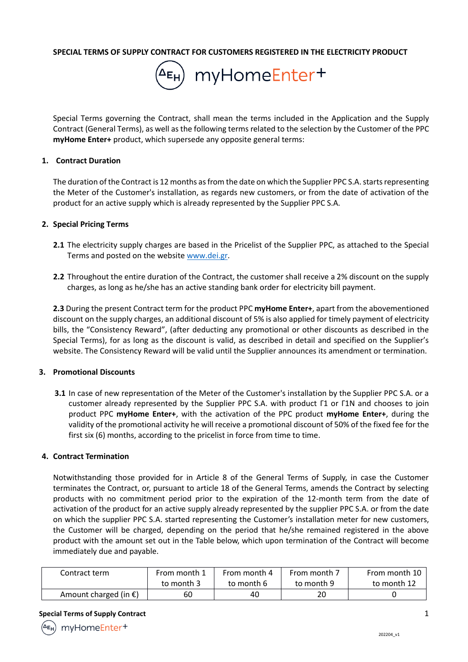**SPECIAL TERMS OF SUPPLY CONTRACT FOR CUSTOMERS REGISTERED IN THE ELECTRICITY PRODUCT**



Special Terms governing the Contract, shall mean the terms included in the Application and the Supply Contract (General Terms), as well as the following terms related to the selection by the Customer of the PPC **myHome Enter+** product, which supersede any opposite general terms:

#### **1. Contract Duration**

The duration of the Contract is 12 months as from the date on which the Supplier PPC S.A. starts representing the Meter of the Customer's installation, as regards new customers, or from the date of activation of the product for an active supply which is already represented by the Supplier PPC S.A.

#### **2. Special Pricing Terms**

- **2.1** The electricity supply charges are based in the Pricelist of the Supplier PPC, as attached to the Special Terms and posted on the website www.dei.gr.
- **2.2** Throughout the entire duration of the Contract, the customer shall receive a 2% discount on the supply charges, as long as he/she has an active standing bank order for electricity bill payment.

**2.3** During the present Contract term for the product PPC **myHome Enter+**, apart from the abovementioned discount on the supply charges, an additional discount of 5% is also applied for timely payment of electricity bills, the "Consistency Reward", (after deducting any promotional or other discounts as described in the Special Terms), for as long as the discount is valid, as described in detail and specified on the Supplier's website. The Consistency Reward will be valid until the Supplier announces its amendment or termination.

### **3. Promotional Discounts**

**3.1** In case of new representation of the Meter of the Customer's installation by the Supplier PPC S.A. or a customer already represented by the Supplier PPC S.A. with product Γ1 or Γ1N and chooses to join product PPC **myHome Enter+**, with the activation of the PPC product **myHome Enter+**, during the validity of the promotional activity he will receive a promotional discount of 50% of the fixed fee for the first six (6) months, according to the pricelist in force from time to time.

### **4. Contract Termination**

Notwithstanding those provided for in Article 8 of the General Terms of Supply, in case the Customer terminates the Contract, or, pursuant to article 18 of the General Terms, amends the Contract by selecting products with no commitment period prior to the expiration of the 12-month term from the date of activation of the product for an active supply already represented by the supplier PPC S.A. or from the date on which the supplier PPC S.A. started representing the Customer's installation meter for new customers, the Customer will be charged, depending on the period that he/she remained registered in the above product with the amount set out in the Table below, which upon termination of the Contract will become immediately due and payable.

| Contract term                   | From month 1 | From month 4 | From month 7 | From month 10 |
|---------------------------------|--------------|--------------|--------------|---------------|
|                                 | to month 3   | to month 6   | to month 9   | to month 12   |
| Amount charged (in $\epsilon$ ) | 60           | 40           | 20           |               |

#### **Special Terms of Supply Contract** 1 **1**



myHomeEnter+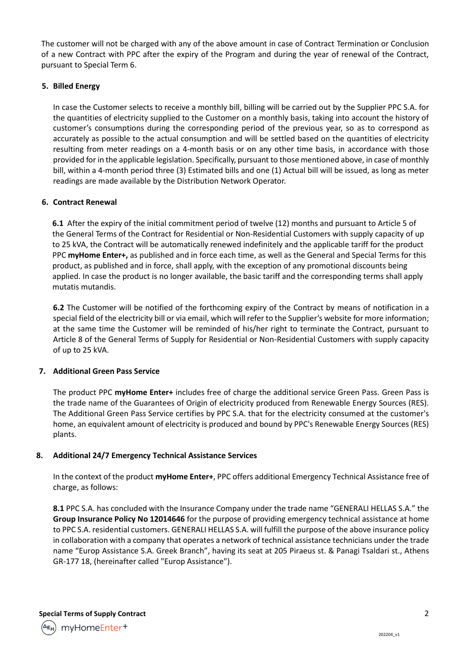The customer will not be charged with any of the above amount in case of Contract Termination or Conclusion of a new Contract with PPC after the expiry of the Program and during the year of renewal of the Contract, pursuant to Special Term 6.

# **5. Billed Energy**

In case the Customer selects to receive a monthly bill, billing will be carried out by the Supplier PPC S.A. for the quantities of electricity supplied to the Customer on a monthly basis, taking into account the history of customer's consumptions during the corresponding period of the previous year, so as to correspond as accurately as possible to the actual consumption and will be settled based on the quantities of electricity resulting from meter readings on a 4-month basis or on any other time basis, in accordance with those provided for in the applicable legislation. Specifically, pursuant to those mentioned above, in case of monthly bill, within a 4-month period three (3) Estimated bills and one (1) Actual bill will be issued, as long as meter readings are made available by the Distribution Network Operator.

# **6. Contract Renewal**

**6.1** After the expiry of the initial commitment period of twelve (12) months and pursuant to Article 5 of the General Terms of the Contract for Residential or Non-Residential Customers with supply capacity of up to 25 kVA, the Contract will be automatically renewed indefinitely and the applicable tariff for the product PPC **myHome Enter+,** as published and in force each time, as well as the General and Special Terms for this product, as published and in force, shall apply, with the exception of any promotional discounts being applied. In case the product is no longer available, the basic tariff and the corresponding terms shall apply mutatis mutandis.

**6.2** The Customer will be notified of the forthcoming expiry of the Contract by means of notification in a special field of the electricity bill or via email, which will refer to the Supplier's website for more information; at the same time the Customer will be reminded of his/her right to terminate the Contract, pursuant to Article 8 of the General Terms of Supply for Residential or Non-Residential Customers with supply capacity of up to 25 kVA.

# **7. Additional Green Pass Service**

The product PPC **myHome Enter+** includes free of charge the additional service Green Pass. Green Pass is the trade name of the Guarantees of Origin of electricity produced from Renewable Energy Sources (RES). The Additional Green Pass Service certifies by PPC S.A. that for the electricity consumed at the customer's home, an equivalent amount of electricity is produced and bound by PPC's Renewable Energy Sources (RES) plants.

# **8. Additional 24/7 Emergency Technical Assistance Services**

In the context of the product **myHome Enter+**, PPC offers additional Emergency Technical Assistance free of charge, as follows:

**8.1** PPC S.A. has concluded with the Insurance Company under the trade name "GENERALI HELLAS S.A." the **Group Insurance Policy No 12014646** for the purpose of providing emergency technical assistance at home to PPC S.A. residential customers. GENERALI HELLAS S.A. will fulfill the purpose of the above insurance policy in collaboration with a company that operates a network of technical assistance technicians under the trade name "Europ Assistance S.A. Greek Branch", having its seat at 205 Piraeus st. & Panagi Tsaldari st., Athens GR-177 18, (hereinafter called "Europ Assistance").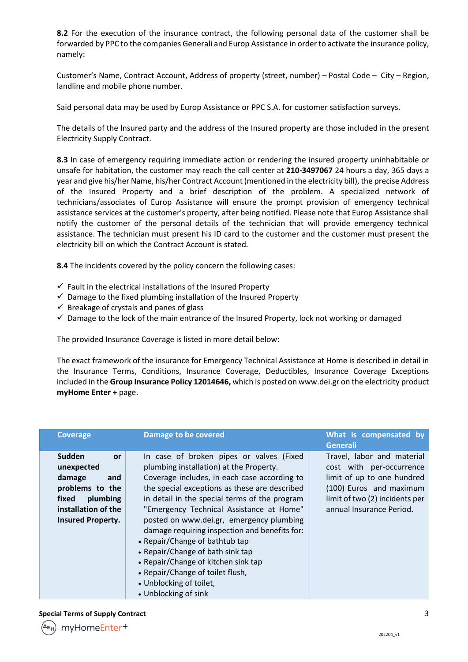**8.2** For the execution of the insurance contract, the following personal data of the customer shall be forwarded by PPC to the companies Generali and Europ Assistance in order to activate the insurance policy, namely:

Customer's Name, Contract Account, Address of property (street, number) – Postal Code – City – Region, landline and mobile phone number.

Said personal data may be used by Europ Assistance or PPC S.A. for customer satisfaction surveys.

The details of the Insured party and the address of the Insured property are those included in the present Electricity Supply Contract.

**8.3** In case of emergency requiring immediate action or rendering the insured property uninhabitable or unsafe for habitation, the customer may reach the call center at **210-3497067** 24 hours a day, 365 days a year and give his/her Name, his/her Contract Account (mentioned in the electricity bill), the precise Address of the Insured Property and a brief description of the problem. A specialized network of technicians/associates of Europ Assistance will ensure the prompt provision of emergency technical assistance services at the customer's property, after being notified. Please note that Europ Assistance shall notify the customer of the personal details of the technician that will provide emergency technical assistance. The technician must present his ID card to the customer and the customer must present the electricity bill on which the Contract Account is stated.

**8.4** The incidents covered by the policy concern the following cases:

- $\checkmark$  Fault in the electrical installations of the Insured Property
- $\checkmark$  Damage to the fixed plumbing installation of the Insured Property
- $\checkmark$  Breakage of crystals and panes of glass
- $\checkmark$  Damage to the lock of the main entrance of the Insured Property, lock not working or damaged

The provided Insurance Coverage is listed in more detail below:

The exact framework of the insurance for Emergency Technical Assistance at Home is described in detail in the Insurance Terms, Conditions, Insurance Coverage, Deductibles, Insurance Coverage Exceptions included in the **Group Insurance Policy 12014646,** which is posted on www.dei.gr on the electricity product **myHome Enter +** page.

| <b>Coverage</b>                                                                                                                               | <b>Damage to be covered</b>                                                                                                                                                                                                                                                                                                                                                                                                                                                                                                                                                        | What is compensated by<br><b>Generali</b>                                                                                                                                     |
|-----------------------------------------------------------------------------------------------------------------------------------------------|------------------------------------------------------------------------------------------------------------------------------------------------------------------------------------------------------------------------------------------------------------------------------------------------------------------------------------------------------------------------------------------------------------------------------------------------------------------------------------------------------------------------------------------------------------------------------------|-------------------------------------------------------------------------------------------------------------------------------------------------------------------------------|
| Sudden<br><b>or</b><br>unexpected<br>damage<br>and<br>problems to the<br>fixed<br>plumbing<br>installation of the<br><b>Insured Property.</b> | In case of broken pipes or valves (Fixed<br>plumbing installation) at the Property.<br>Coverage includes, in each case according to<br>the special exceptions as these are described<br>in detail in the special terms of the program<br>"Emergency Technical Assistance at Home"<br>posted on www.dei.gr, emergency plumbing<br>damage requiring inspection and benefits for:<br>• Repair/Change of bathtub tap<br>• Repair/Change of bath sink tap<br>• Repair/Change of kitchen sink tap<br>• Repair/Change of toilet flush,<br>• Unblocking of toilet,<br>• Unblocking of sink | Travel, labor and material<br>cost with per-occurrence<br>limit of up to one hundred<br>(100) Euros and maximum<br>limit of two (2) incidents per<br>annual Insurance Period. |

#### **Special Terms of Supply Contract** 3

| <sup>^E</sup> H) myHomeEnter <sup>+</sup> |
|-------------------------------------------|
|                                           |